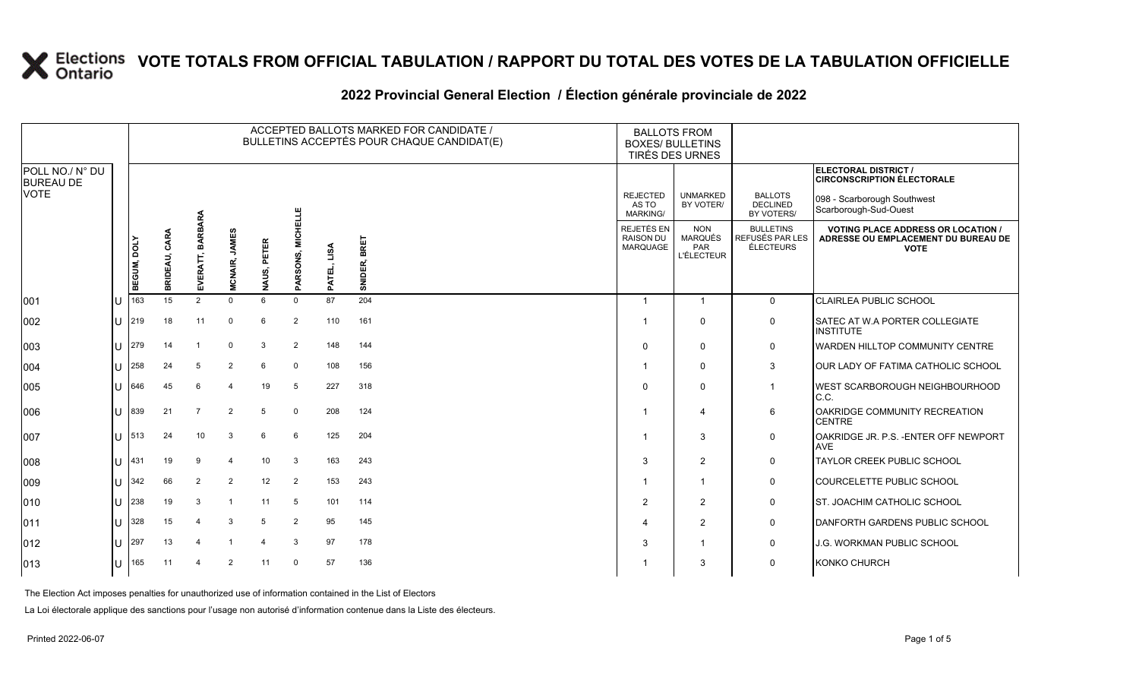### **2022 Provincial General Election / Élection générale provinciale de 2022**

|                                     |    |             |               |                  |                |             |                             |             | ACCEPTED BALLOTS MARKED FOR CANDIDATE /<br>BULLETINS ACCEPTÉS POUR CHAQUE CANDIDAT(E) | <b>BALLOTS FROM</b><br><b>BOXES/ BULLETINS</b> | TIRÉS DES URNES                                          |                                                  |                                                                                                 |
|-------------------------------------|----|-------------|---------------|------------------|----------------|-------------|-----------------------------|-------------|---------------------------------------------------------------------------------------|------------------------------------------------|----------------------------------------------------------|--------------------------------------------------|-------------------------------------------------------------------------------------------------|
| POLL NO./ N° DU<br><b>BUREAU DE</b> |    |             |               |                  |                |             |                             |             |                                                                                       |                                                |                                                          |                                                  | ELECTORAL DISTRICT /<br><b>CIRCONSCRIPTION ÉLECTORALE</b>                                       |
| <b>VOTE</b>                         |    |             |               |                  |                |             |                             |             |                                                                                       | <b>REJECTED</b><br>AS TO<br><b>MARKING/</b>    | <b>UNMARKED</b><br>BY VOTER/                             | <b>BALLOTS</b><br><b>DECLINED</b><br>BY VOTERS/  | 098 - Scarborough Southwest<br>Scarborough-Sud-Ouest                                            |
|                                     |    | BEGUM, DOLY | BRIDEAU, CARA | EVERATT, BARBARA | MCNAIR, JAMES  | NAUS, PETER | <b>MICHELLE</b><br>PARSONS, | PATEL, LISA | SNIDER, BRET                                                                          | REJETÉS EN<br><b>RAISON DU</b><br>MARQUAGE     | <b>NON</b><br><b>MARQUÉS</b><br>PAR<br><b>L'ÉLECTEUR</b> | <b>BULLETINS</b><br>REFUSÉS PAR LES<br>ÉLECTEURS | <b>VOTING PLACE ADDRESS OR LOCATION /</b><br>ADRESSE OU EMPLACEMENT DU BUREAU DE<br><b>VOTE</b> |
| 001                                 | lu | 163         | 15            | $\overline{2}$   | $\Omega$       | 6           | $\mathbf 0$                 | 87          | 204                                                                                   | $\overline{1}$                                 | $\overline{1}$                                           | $\Omega$                                         | CLAIRLEA PUBLIC SCHOOL                                                                          |
| 002                                 | lu | 219         | 18            | 11               | 0              | 6           | $\overline{2}$              | 110         | 161                                                                                   |                                                | $\mathbf 0$                                              | 0                                                | SATEC AT W.A PORTER COLLEGIATE<br><b>INSTITUTE</b>                                              |
| 003                                 | lu | 279         | 14            |                  | $\Omega$       | 3           | 2                           | 148         | 144                                                                                   | $\Omega$                                       | $\mathbf 0$                                              | $\mathsf{O}$                                     | WARDEN HILLTOP COMMUNITY CENTRE                                                                 |
| 004                                 | lu | 258         | 24            | 5                | 2              | 6           | $\mathbf 0$                 | 108         | 156                                                                                   |                                                | $\mathbf 0$                                              | 3                                                | <b>OUR LADY OF FATIMA CATHOLIC SCHOOL</b>                                                       |
| 005                                 | lu | 646         | 45            | 6                |                | 19          | 5                           | 227         | 318                                                                                   | $\Omega$                                       | $\Omega$                                                 | $\overline{1}$                                   | <b>WEST SCARBOROUGH NEIGHBOURHOOD</b><br>C.C.                                                   |
| 006                                 | ΙU | 839         | 21            |                  | 2              | 5           | $\mathbf 0$                 | 208         | 124                                                                                   |                                                | $\overline{4}$                                           | 6                                                | OAKRIDGE COMMUNITY RECREATION<br><b>CENTRE</b>                                                  |
| 007                                 | lu | 513         | 24            | 10               | 3              | 6           | 6                           | 125         | 204                                                                                   |                                                | 3                                                        | 0                                                | OAKRIDGE JR. P.S. - ENTER OFF NEWPORT<br><b>AVE</b>                                             |
| 008                                 | lu | 431         | 19            | 9                |                | 10          | 3                           | 163         | 243                                                                                   | 3                                              | 2                                                        | $\mathsf{O}$                                     | <b>TAYLOR CREEK PUBLIC SCHOOL</b>                                                               |
| 009                                 | lu | 342         | 66            | $\overline{2}$   | $\overline{2}$ | 12          | $\overline{2}$              | 153         | 243                                                                                   |                                                | $\overline{1}$                                           | 0                                                | COURCELETTE PUBLIC SCHOOL                                                                       |
| 010                                 | lu | 238         | 19            | $\mathcal{A}$    |                | 11          | 5                           | 101         | 114                                                                                   | $\overline{2}$                                 | $\overline{2}$                                           | 0                                                | <b>ST. JOACHIM CATHOLIC SCHOOL</b>                                                              |
| 011                                 | lu | 328         | 15            |                  | 3              | 5           | $\overline{2}$              | 95          | 145                                                                                   | Δ                                              | 2                                                        | $\mathsf{O}$                                     | DANFORTH GARDENS PUBLIC SCHOOL                                                                  |
| $ 012\rangle$                       | lu | 297         | 13            |                  |                | $\Delta$    | 3                           | 97          | 178                                                                                   | 3                                              | $\overline{1}$                                           | 0                                                | J.G. WORKMAN PUBLIC SCHOOL                                                                      |
| 013                                 | lu | 165         | 11            |                  | 2              | 11          | $\mathbf 0$                 | 57          | 136                                                                                   |                                                | 3                                                        | $\mathbf 0$                                      | <b>KONKO CHURCH</b>                                                                             |

The Election Act imposes penalties for unauthorized use of information contained in the List of Electors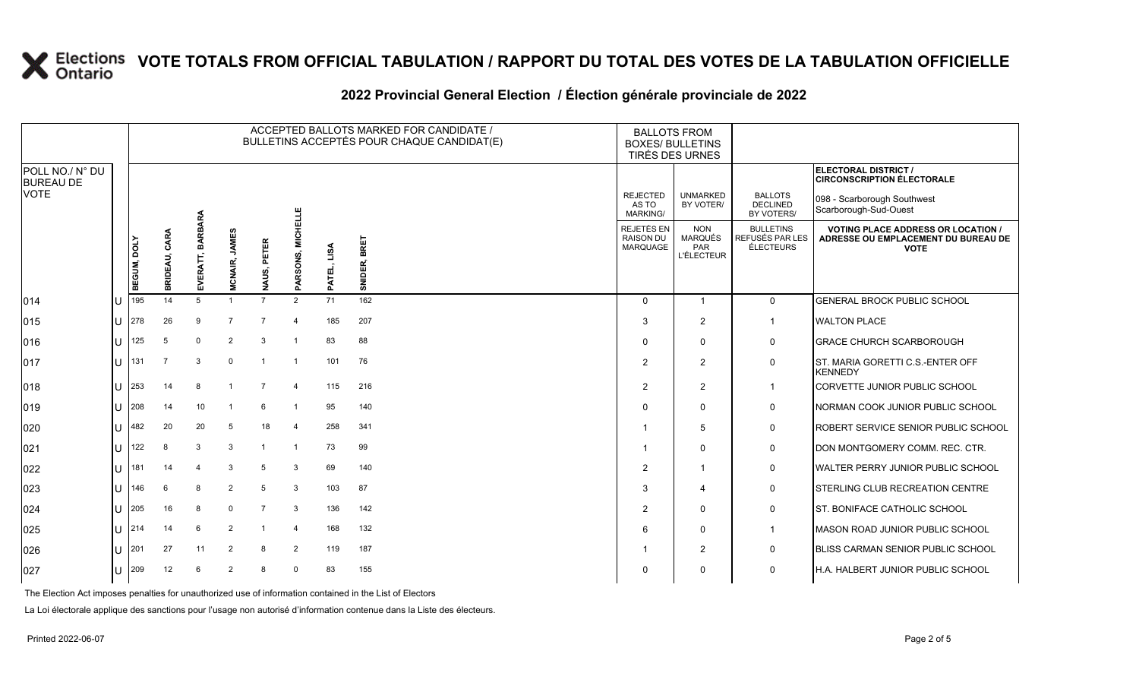### **2022 Provincial General Election / Élection générale provinciale de 2022**

|                                     |     | ACCEPTED BALLOTS MARKED FOR CANDIDATE /<br>BULLETINS ACCEPTÉS POUR CHAQUE CANDIDAT(E) |                  |                          |                                |                  |                             |                |                 |                                                   | <b>BALLOTS FROM</b><br><b>BOXES/ BULLETINS</b><br><b>TIRÉS DES URNES</b> |                                                         |                                                                                                 |
|-------------------------------------|-----|---------------------------------------------------------------------------------------|------------------|--------------------------|--------------------------------|------------------|-----------------------------|----------------|-----------------|---------------------------------------------------|--------------------------------------------------------------------------|---------------------------------------------------------|-------------------------------------------------------------------------------------------------|
| POLL NO./ N° DU<br><b>BUREAU DE</b> |     |                                                                                       |                  |                          |                                |                  |                             |                |                 |                                                   |                                                                          |                                                         | ELECTORAL DISTRICT /<br><b>CIRCONSCRIPTION ÉLECTORALE</b>                                       |
| <b>VOTE</b>                         |     |                                                                                       |                  |                          |                                |                  |                             |                |                 | <b>REJECTED</b><br>AS TO<br><b>MARKING/</b>       | <b>UNMARKED</b><br>BY VOTER/                                             | <b>BALLOTS</b><br><b>DECLINED</b><br>BY VOTERS/         | 098 - Scarborough Southwest<br>Scarborough-Sud-Ouest                                            |
|                                     |     | BEGUM, DOLY                                                                           | CARA<br>BRIDEAU, | <b>BARBARA</b><br>EVERAT | <b>JAMES</b><br><b>MCNAIR,</b> | PETER<br>NAUS, I | <b>MICHELLE</b><br>PARSONS, | LISA<br>PATEL, | BRET<br>SNIDER, | REJETÉS EN<br><b>RAISON DU</b><br><b>MARQUAGE</b> | <b>NON</b><br><b>MARQUÉS</b><br><b>PAR</b><br><b>L'ÉLECTEUR</b>          | <b>BULLETINS</b><br>REFUSÉS PAR LES<br><b>ÉLECTEURS</b> | <b>VOTING PLACE ADDRESS OR LOCATION /</b><br>ADRESSE OU EMPLACEMENT DU BUREAU DE<br><b>VOTE</b> |
| 014                                 | lU  | 195                                                                                   | 14               | 5                        | $\overline{1}$                 | $\overline{7}$   | 2                           | 71             | 162             | $\Omega$                                          | $\overline{\mathbf{1}}$                                                  | $\mathbf 0$                                             | <b>GENERAL BROCK PUBLIC SCHOOL</b>                                                              |
| $ 015\rangle$                       | U   | 278                                                                                   | 26               | 9                        | $\overline{7}$                 | $\overline{7}$   | $\overline{4}$              | 185            | 207             | 3                                                 | $\overline{2}$                                                           | $\overline{1}$                                          | <b>WALTON PLACE</b>                                                                             |
| 016                                 | lu  | 125                                                                                   | -5               | $\mathbf 0$              | $\overline{2}$                 | 3                |                             | 83             | 88              | $\Omega$                                          | 0                                                                        | $\mathbf 0$                                             | <b>GRACE CHURCH SCARBOROUGH</b>                                                                 |
| $ 017\rangle$                       | ΙU  | 131                                                                                   | $\overline{7}$   | 3                        | $\Omega$                       | $\overline{1}$   | -1                          | 101            | 76              | $\overline{2}$                                    | $\overline{2}$                                                           | 0                                                       | ST. MARIA GORETTI C.S.-ENTER OFF<br><b>KENNEDY</b>                                              |
| $ 018\rangle$                       | lu- | 253                                                                                   | 14               | 8                        | -1                             | $\overline{7}$   | $\overline{4}$              | 115            | 216             | $\overline{2}$                                    | $\overline{2}$                                                           | $\overline{1}$                                          | CORVETTE JUNIOR PUBLIC SCHOOL                                                                   |
| $ 019\rangle$                       | lu  | 208                                                                                   | 14               | 10                       |                                | 6                | -1                          | 95             | 140             | $\Omega$                                          | $\Omega$                                                                 | 0                                                       | NORMAN COOK JUNIOR PUBLIC SCHOOL                                                                |
| 020                                 | lu  | 482                                                                                   | 20               | 20                       | 5                              | 18               | $\overline{4}$              | 258            | 341             |                                                   | 5                                                                        | $\mathbf 0$                                             | ROBERT SERVICE SENIOR PUBLIC SCHOOL                                                             |
| 021                                 | lθ  | 122                                                                                   | 8                | 3                        | 3                              | $\mathbf 1$      | -1                          | 73             | 99              |                                                   | $\Omega$                                                                 | 0                                                       | DON MONTGOMERY COMM. REC. CTR.                                                                  |
| 022                                 | lθ  | 181                                                                                   | 14               |                          | 3                              | 5                | 3                           | 69             | 140             | $\overline{2}$                                    | -1                                                                       | 0                                                       | WALTER PERRY JUNIOR PUBLIC SCHOOL                                                               |
| 023                                 | lu  | 146                                                                                   | 6                | 8                        | $\overline{2}$                 | 5                | 3                           | 103            | 87              | 3                                                 | $\boldsymbol{\Delta}$                                                    | $\mathbf 0$                                             | STERLING CLUB RECREATION CENTRE                                                                 |
| 024                                 | lu. | 205                                                                                   | 16               | 8                        | $\Omega$                       | $\overline{7}$   | 3                           | 136            | 142             | $\overline{2}$                                    | $\Omega$                                                                 | 0                                                       | <b>ST. BONIFACE CATHOLIC SCHOOL</b>                                                             |
| 025                                 | lu- | 214                                                                                   | 14               | 6                        | $\overline{2}$                 |                  | $\overline{a}$              | 168            | 132             | 6                                                 | $\mathbf{0}$                                                             | $\mathbf{1}$                                            | MASON ROAD JUNIOR PUBLIC SCHOOL                                                                 |
| 026                                 | ΙU  | 201                                                                                   | 27               | 11                       | $\overline{2}$                 | 8                | $\overline{2}$              | 119            | 187             |                                                   | $\overline{2}$                                                           | $\mathbf 0$                                             | BLISS CARMAN SENIOR PUBLIC SCHOOL                                                               |
| 027                                 | lu  | 209                                                                                   | 12               | 6                        | 2                              | 8                | $\Omega$                    | 83             | 155             | 0                                                 | 0                                                                        | 0                                                       | H.A. HALBERT JUNIOR PUBLIC SCHOOL                                                               |

The Election Act imposes penalties for unauthorized use of information contained in the List of Electors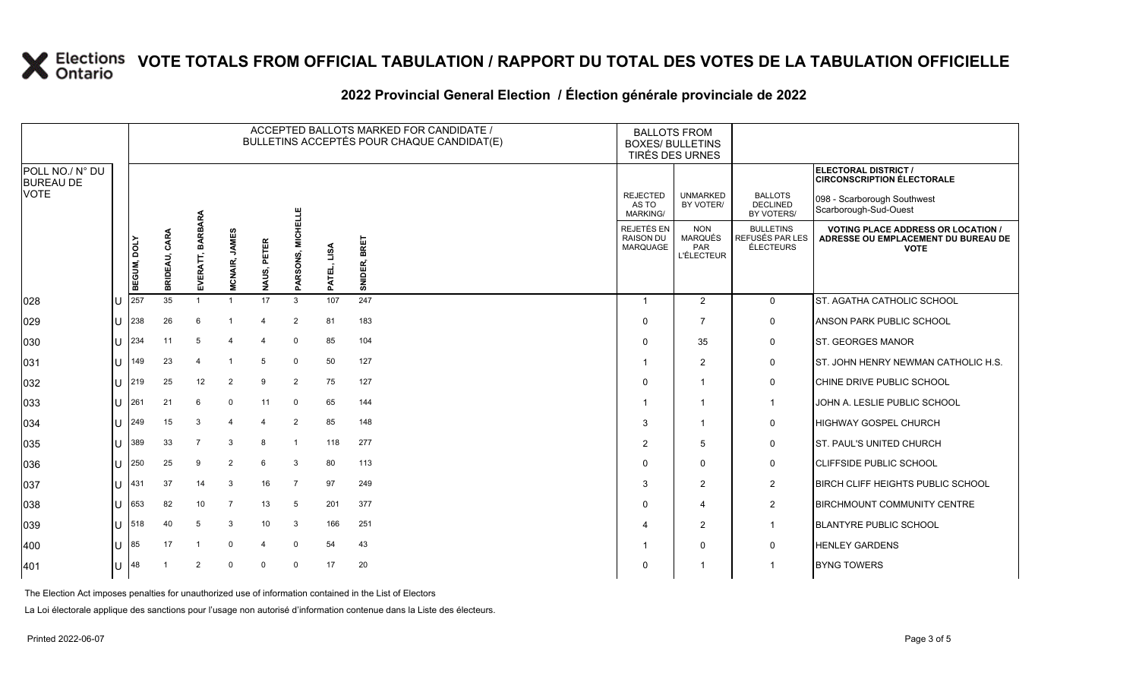### **2022 Provincial General Election / Élection générale provinciale de 2022**

|                                     |   |                    |                  |                     |                         |                    |                            |                | ACCEPTED BALLOTS MARKED FOR CANDIDATE /<br>BULLETINS ACCEPTÉS POUR CHAQUE CANDIDAT(E) | <b>BALLOTS FROM</b><br><b>BOXES/ BULLETINS</b><br>TIRÉS DES URNES |                                                          |                                                  |                                                                                                 |
|-------------------------------------|---|--------------------|------------------|---------------------|-------------------------|--------------------|----------------------------|----------------|---------------------------------------------------------------------------------------|-------------------------------------------------------------------|----------------------------------------------------------|--------------------------------------------------|-------------------------------------------------------------------------------------------------|
| POLL NO./ N° DU<br><b>BUREAU DE</b> |   |                    |                  |                     |                         |                    |                            |                |                                                                                       |                                                                   |                                                          |                                                  | ELECTORAL DISTRICT /<br><b>CIRCONSCRIPTION ÉLECTORALE</b>                                       |
| <b>VOTE</b>                         |   |                    |                  |                     |                         |                    |                            |                |                                                                                       | <b>REJECTED</b><br>AS TO<br><b>MARKING/</b>                       | <b>UNMARKED</b><br>BY VOTER/                             | <b>BALLOTS</b><br><b>DECLINED</b><br>BY VOTERS/  | 098 - Scarborough Southwest<br>Scarborough-Sud-Ouest                                            |
|                                     |   | <b>BEGUM, DOLY</b> | CARA<br>BRIDEAU, | BARBARA<br>EVERATT, | <b>MCNAIR, JAMES</b>    | ETER<br>ᇍ<br>NAUS, | <b>MICHELLE</b><br>ARSONS, | LISA<br>PATEL, | SNIDER, BRET                                                                          | REJETÉS EN<br><b>RAISON DU</b><br>MARQUAGE                        | <b>NON</b><br><b>MARQUÉS</b><br>PAR<br><b>L'ÉLECTEUR</b> | <b>BULLETINS</b><br>REFUSÉS PAR LES<br>ÉLECTEURS | <b>VOTING PLACE ADDRESS OR LOCATION /</b><br>ADRESSE OU EMPLACEMENT DU BUREAU DE<br><b>VOTE</b> |
| 028                                 |   | 257                | 35               | $\mathbf{1}$        | $\overline{1}$          | 17                 | o.<br>3                    | 107            | 247                                                                                   | -1                                                                | 2                                                        | $\mathbf 0$                                      | <b>ST. AGATHA CATHOLIC SCHOOL</b>                                                               |
| 029                                 | U | 238                | 26               | 6                   | -1                      | $\overline{4}$     | 2                          | 81             | 183                                                                                   | $\Omega$                                                          | $\overline{7}$                                           | 0                                                | ANSON PARK PUBLIC SCHOOL                                                                        |
| 030                                 | U | 234                | 11               | 5                   | $\Delta$                |                    | $\Omega$                   | 85             | 104                                                                                   | $\Omega$                                                          | 35                                                       | 0                                                | <b>ST. GEORGES MANOR</b>                                                                        |
| 031                                 | U | 149                | 23               |                     | $\overline{\mathbf{1}}$ | 5                  | $\mathbf 0$                | 50             | 127                                                                                   |                                                                   | 2                                                        | $\mathbf 0$                                      | <b>ST. JOHN HENRY NEWMAN CATHOLIC H.S.</b>                                                      |
| 032                                 | U | 219                | 25               | 12                  | 2                       | 9                  | 2                          | 75             | 127                                                                                   | $\Omega$                                                          | -1                                                       | 0                                                | CHINE DRIVE PUBLIC SCHOOL                                                                       |
| 033                                 | U | 261                | 21               | 6                   | $\Omega$                | 11                 | $\Omega$                   | 65             | 144                                                                                   |                                                                   | -1                                                       | $\overline{1}$                                   | JOHN A. LESLIE PUBLIC SCHOOL                                                                    |
| 034                                 | U | 249                | 15               | 3                   | $\overline{4}$          | $\overline{4}$     | 2                          | 85             | 148                                                                                   | 3                                                                 | -1                                                       | 0                                                | <b>HIGHWAY GOSPEL CHURCH</b>                                                                    |
| 035                                 | U | 389                | 33               | 7                   | 3                       | 8                  | $\mathbf{1}$               | 118            | 277                                                                                   | $\overline{2}$                                                    | $\overline{5}$                                           | 0                                                | <b>ST. PAUL'S UNITED CHURCH</b>                                                                 |
| 036                                 | U | 250                | 25               | 9                   | $\overline{2}$          | 6                  | 3                          | 80             | 113                                                                                   | $\Omega$                                                          | $\mathbf{0}$                                             | 0                                                | <b>CLIFFSIDE PUBLIC SCHOOL</b>                                                                  |
| 037                                 | U | 431                | 37               | 14                  | 3                       | 16                 | $\overline{7}$             | 97             | 249                                                                                   | 3                                                                 | 2                                                        | $\overline{2}$                                   | BIRCH CLIFF HEIGHTS PUBLIC SCHOOL                                                               |
| 038                                 | U | 653                | 82               | 10                  | $\overline{7}$          | 13                 | 5                          | 201            | 377                                                                                   | $\Omega$                                                          | $\overline{a}$                                           | $\overline{2}$                                   | <b>BIRCHMOUNT COMMUNITY CENTRE</b>                                                              |
| 039                                 | U | 518                | 40               | 5                   | 3                       | 10 <sup>°</sup>    | 3                          | 166            | 251                                                                                   |                                                                   | $\overline{2}$                                           | $\mathbf{1}$                                     | <b>BLANTYRE PUBLIC SCHOOL</b>                                                                   |
| 400                                 | U | 85                 | 17               | $\overline{1}$      | $\Omega$                | $\overline{4}$     | $\mathbf 0$                | 54             | 43                                                                                    |                                                                   | $\mathbf{0}$                                             | $\mathbf 0$                                      | <b>HENLEY GARDENS</b>                                                                           |
| 401                                 | U | 48                 |                  | 2                   | $\Omega$                | $\Omega$           | $\Omega$                   | 17             | 20                                                                                    | 0                                                                 |                                                          |                                                  | <b>BYNG TOWERS</b>                                                                              |

The Election Act imposes penalties for unauthorized use of information contained in the List of Electors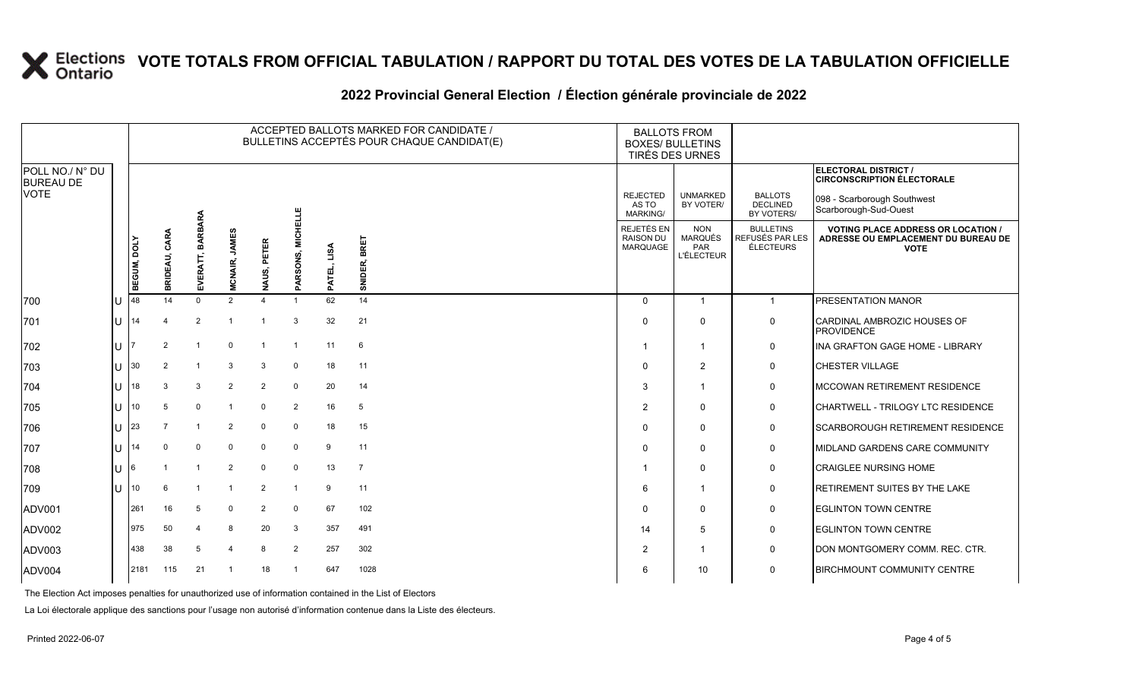### **2022 Provincial General Election / Élection générale provinciale de 2022**

|                                     |    | ACCEPTED BALLOTS MARKED FOR CANDIDATE /<br>BULLETINS ACCEPTÉS POUR CHAQUE CANDIDAT(E) |                  |                          |                                |                              |                             |                |                 |                                                   | <b>BALLOTS FROM</b><br><b>BOXES/ BULLETINS</b><br>TIRÉS DES URNES |                                                         |                                                                                                 |
|-------------------------------------|----|---------------------------------------------------------------------------------------|------------------|--------------------------|--------------------------------|------------------------------|-----------------------------|----------------|-----------------|---------------------------------------------------|-------------------------------------------------------------------|---------------------------------------------------------|-------------------------------------------------------------------------------------------------|
| POLL NO./ N° DU<br><b>BUREAU DE</b> |    |                                                                                       |                  |                          |                                |                              |                             |                |                 |                                                   |                                                                   |                                                         | ELECTORAL DISTRICT /<br><b>CIRCONSCRIPTION ÉLECTORALE</b>                                       |
| <b>VOTE</b>                         |    |                                                                                       |                  |                          |                                |                              |                             |                |                 | <b>REJECTED</b><br>AS TO<br><b>MARKING/</b>       | <b>UNMARKED</b><br>BY VOTER/                                      | <b>BALLOTS</b><br><b>DECLINED</b><br>BY VOTERS/         | 098 - Scarborough Southwest<br>Scarborough-Sud-Ouest                                            |
|                                     |    | BEGUM, DOLY                                                                           | CARA<br>BRIDEAU, | <b>BARBARA</b><br>EVERAT | <b>JAMES</b><br><b>MCNAIR,</b> | PETER<br>AUS,                | <b>MICHELLE</b><br>PARSONS, | LISA<br>PATEL, | BRET<br>SNIDER, | REJETÉS EN<br><b>RAISON DU</b><br><b>MARQUAGE</b> | <b>NON</b><br><b>MARQUÉS</b><br>PAR<br><b>L'ÉLECTEUR</b>          | <b>BULLETINS</b><br>REFUSÉS PAR LES<br><b>ÉLECTEURS</b> | <b>VOTING PLACE ADDRESS OR LOCATION /</b><br>ADRESSE OU EMPLACEMENT DU BUREAU DE<br><b>VOTE</b> |
| 700                                 | lU | 48                                                                                    | 14               | $\Omega$                 | $\overline{2}$                 | z<br>$\overline{\mathbf{A}}$ |                             | 62             | 14              | $\Omega$                                          | $\mathbf{1}$                                                      | $\overline{1}$                                          | PRESENTATION MANOR                                                                              |
| 701                                 | U  | 14                                                                                    |                  | $\overline{2}$           |                                |                              | 3                           | 32             | 21              | $\Omega$                                          | $\Omega$                                                          | 0                                                       | CARDINAL AMBROZIC HOUSES OF<br><b>PROVIDENCE</b>                                                |
| 702                                 | ΙU |                                                                                       | $\overline{2}$   |                          | $\Omega$                       | $\overline{1}$               |                             | 11             | $6\phantom{1}6$ | $\overline{\mathbf{1}}$                           | -1                                                                | 0                                                       | INA GRAFTON GAGE HOME - LIBRARY                                                                 |
| 703                                 | lU | 30                                                                                    | 2                |                          | 3                              | $\mathbf{3}$                 | $\Omega$                    | 18             | 11              | $\mathbf 0$                                       | $\overline{2}$                                                    | $\mathbf 0$                                             | CHESTER VILLAGE                                                                                 |
| 704                                 | lu | 18                                                                                    | 3                | 3                        | $\overline{2}$                 | $\overline{2}$               | $\Omega$                    | 20             | 14              | 3                                                 | 1                                                                 | 0                                                       | MCCOWAN RETIREMENT RESIDENCE                                                                    |
| 705                                 | ΙU | 10                                                                                    | 5                | $\Omega$                 | -1                             | $\mathbf 0$                  | 2                           | 16             | 5               | $\overline{2}$                                    | $\Omega$                                                          | 0                                                       | CHARTWELL - TRILOGY LTC RESIDENCE                                                               |
| 706                                 | ΙU | 23                                                                                    | $\overline{7}$   | $\overline{1}$           | $\overline{2}$                 | $\mathbf 0$                  | $\Omega$                    | 18             | 15              | $\mathbf{0}$                                      | $\mathbf{0}$                                                      | $\mathsf{O}$                                            | SCARBOROUGH RETIREMENT RESIDENCE                                                                |
| 707                                 | lu | 14                                                                                    | $\Omega$         | $\mathbf 0$              | $\mathbf 0$                    | $\mathbf 0$                  | $\Omega$                    | 9              | 11              | $\Omega$                                          | $\Omega$                                                          | 0                                                       | MIDLAND GARDENS CARE COMMUNITY                                                                  |
| 708                                 | ΙU | 6                                                                                     |                  |                          | $\overline{2}$                 | $\mathbf 0$                  | $\Omega$                    | 13             | $\overline{7}$  | -1                                                | $\Omega$                                                          | 0                                                       | <b>CRAIGLEE NURSING HOME</b>                                                                    |
| 709                                 | lu | 10                                                                                    | 6                | $\overline{1}$           |                                | $\overline{2}$               |                             | 9              | 11              | 6                                                 | 1                                                                 | $\mathbf 0$                                             | RETIREMENT SUITES BY THE LAKE                                                                   |
| ADV001                              |    | 261                                                                                   | 16               | 5                        | $\Omega$                       | 2                            | $\Omega$                    | 67             | 102             | $\Omega$                                          | $\Omega$                                                          | 0                                                       | <b>EGLINTON TOWN CENTRE</b>                                                                     |
| ADV002                              |    | 975                                                                                   | 50               |                          | 8                              | 20                           | 3                           | 357            | 491             | 14                                                | 5                                                                 | $\mathsf{O}$                                            | <b>EGLINTON TOWN CENTRE</b>                                                                     |
| ADV003                              |    | 438                                                                                   | 38               | 5                        | $\Delta$                       | 8                            | $\overline{2}$              | 257            | 302             | 2                                                 | -1                                                                | $\mathbf 0$                                             | DON MONTGOMERY COMM. REC. CTR.                                                                  |
| ADV004                              |    | 2181                                                                                  | 115              | 21                       | -1                             | 18                           |                             | 647            | 1028            | 6                                                 | 10                                                                | 0                                                       | <b>BIRCHMOUNT COMMUNITY CENTRE</b>                                                              |

The Election Act imposes penalties for unauthorized use of information contained in the List of Electors